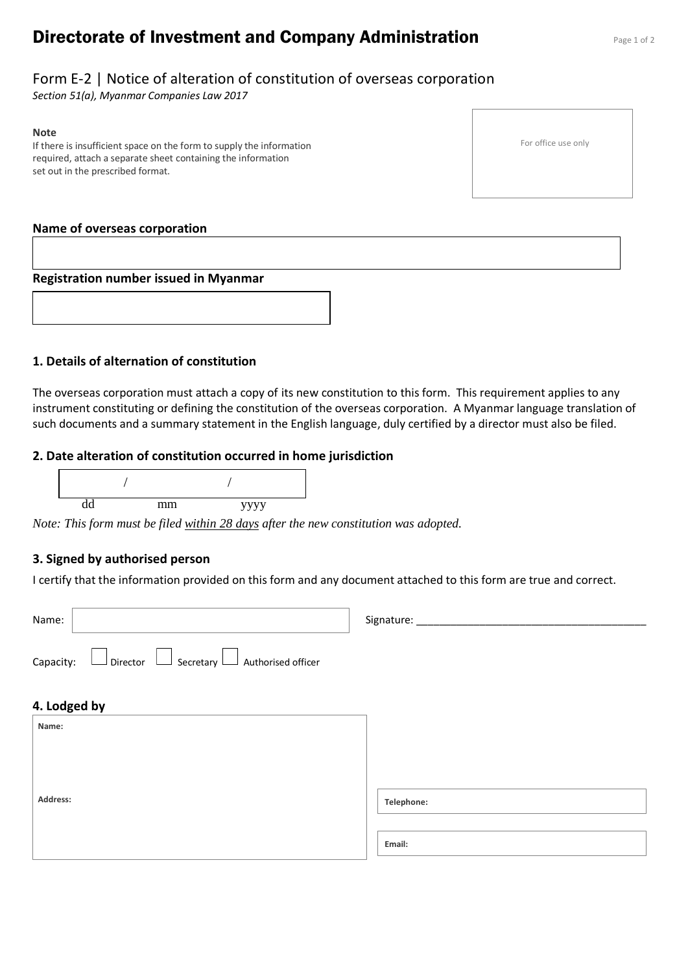# **Directorate of Investment and Company Administration** Page 1 of 2

## Form E-2 | Notice of alteration of constitution of overseas corporation

*Section 51(a), Myanmar Companies Law 2017*

#### **Note**

If there is insufficient space on the form to supply the information required, attach a separate sheet containing the information set out in the prescribed format.

#### **Name of overseas corporation**

#### **Registration number issued in Myanmar**



The overseas corporation must attach a copy of its new constitution to this form. This requirement applies to any instrument constituting or defining the constitution of the overseas corporation. A Myanmar language translation of such documents and a summary statement in the English language, duly certified by a director must also be filed.

#### **2. Date alteration of constitution occurred in home jurisdiction**



*Note: This form must be filed within 28 days after the new constitution was adopted.*

### **3. Signed by authorised person**

I certify that the information provided on this form and any document attached to this form are true and correct.

| Name:                                                                      | Signature: |
|----------------------------------------------------------------------------|------------|
| $\Box$ Secretary $\Box$ Authorised officer<br>$\Box$ Director<br>Capacity: |            |
| 4. Lodged by                                                               |            |
| Name:                                                                      |            |
|                                                                            |            |
|                                                                            |            |
| Address:                                                                   | Telephone: |
|                                                                            | Email:     |

For office use only